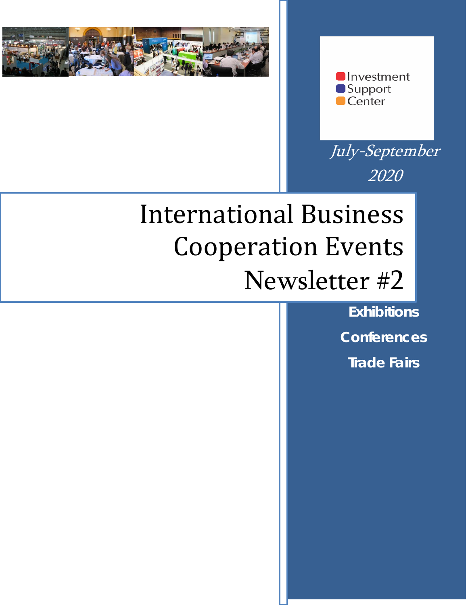



July-September 2020

# International Business Cooperation Events Newsletter #2

**Exhibitions Conferences Trade Fairs**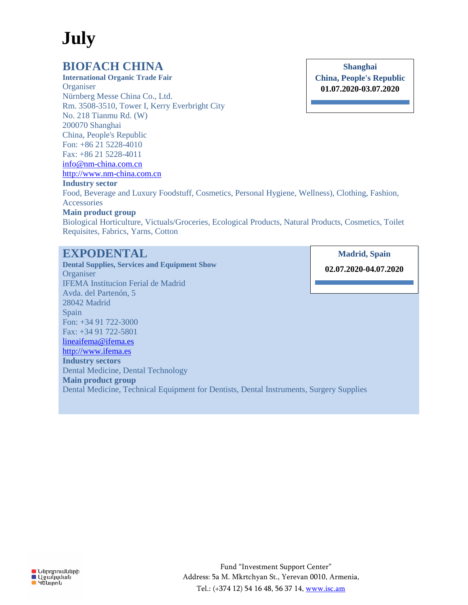## **July**

## **BIOFACH CHINA**

**International Organic Trade Fair Organiser** Nürnberg Messe China Co., Ltd. Rm. 3508-3510, Tower I, Kerry Everbright City No. 218 Tianmu Rd. (W) 200070 Shanghai China, People's Republic Fon: +86 21 5228-4010 Fax: +86 21 5228-4011 [info@nm-china.com.cn](mailto:info@nm-china.com.cn) [http://www.nm-china.com.cn](http://www.nm-china.com.cn/) **Industry sector**

#### **Shanghai China, People's Republic 01.07.2020-03.07.2020**

Food, Beverage and Luxury Foodstuff, Cosmetics, Personal Hygiene, Wellness), Clothing, Fashion, Accessories

#### **Main product group**

Biological Horticulture, Victuals/Groceries, Ecological Products, Natural Products, Cosmetics, Toilet Requisites, Fabrics, Yarns, Cotton

## **EXPODENTAL**

**Dental Supplies, Services and Equipment Show Organiser** IFEMA Institucion Ferial de Madrid Avda. del Partenón, 5 28042 Madrid Spain Fon: +34 91 722-3000 Fax: +34 91 722-5801 [lineaifema@ifema.es](mailto:lineaifema@ifema.es) [http://www.ifema.es](http://www.ifema.es/) **Industry sectors** Dental Medicine, Dental Technology **Main product group** Dental Medicine, Technical Equipment for Dentists, Dental Instruments, Surgery Supplies

**Madrid, Spain**

**02.07.2020-04.07.2020**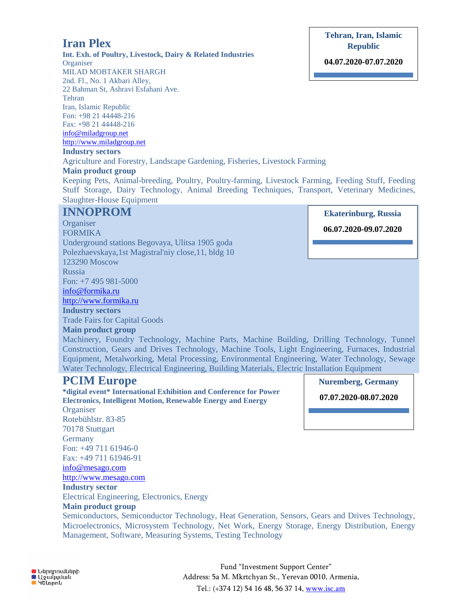#### **O** Ներդրումների **U**gwyydwu **G** Huspnu

Fund "Investment Support Center" Address: 5a M. Mkrtchyan St., Yerevan 0010, Armenia, Tel.: (+374 12) 54 16 48, 56 37 14, www.isc.am

## **Iran Plex**

**Int. Exh. of Poultry, Livestock, Dairy & Related Industries Organiser** MILAD MOBTAKER SHARGH

2nd. Fl., No. 1 Akbari Alley, 22 Bahman St, Ashravi Esfahani Ave. Tehran Iran, Islamic Republic Fon: +98 21 44448-216

Fax: +98 21 44448-216 [info@miladgroup.net](mailto:info@miladgroup.net) [http://www.miladgroup.net](http://www.miladgroup.net/)

#### **Industry sectors**

Agriculture and Forestry, Landscape Gardening, Fisheries, Livestock Farming **Main product group**

Keeping Pets, Animal-breeding, Poultry, Poultry-farming, Livestock Farming, Feeding Stuff, Feeding Stuff Storage, Dairy Technology, Animal Breeding Techniques, Transport, Veterinary Medicines, Slaughter-House Equipment

#### **INNOPROM**

**Organiser** FORMIKA Underground stations Begovaya, Ulitsa 1905 goda Polezhaevskaya,1st Magistral'niy close,11, bldg 10 123290 Moscow Russia Fon: +7 495 981-5000 [info@formika.ru](mailto:info@formika.ru) [http://www.formika.ru](http://www.formika.ru/) **Industry sectors** Trade Fairs for Capital Goods **Main product group**

Machinery, Foundry Technology, Machine Parts, Machine Building, Drilling Technology, Tunnel Construction, Gears and Drives Technology, Machine Tools, Light Engineering, Furnaces, Industrial Equipment, Metalworking, Metal Processing, Environmental Engineering, Water Technology, Sewage Water Technology, Electrical Engineering, Building Materials, Electric Installation Equipment

## **PCIM Europe**

**\*digital event\* International Exhibition and Conference for Power Electronics, Intelligent Motion, Renewable Energy and Energy Organiser** Rotebühlstr. 83-85 70178 Stuttgart **Germany** Fon: +49 711 61946-0 Fax: +49 711 61946-91 [info@mesago.com](mailto:info@mesago.com) [http://www.mesago.com](http://www.mesago.com/) **Industry sector** Electrical Engineering, Electronics, Energy **Main product group** Semiconductors, Semiconductor Technology, Heat Generation, Sensors, Gears and Drives Technology, Microelectronics, Microsystem Technology, Net Work, Energy Storage, Energy Distribution, Energy

Management, Software, Measuring Systems, Testing Technology

## **Ekaterinburg, Russia**

#### **06.07.2020-09.07.2020**

**Nuremberg, Germany**

**07.07.2020-08.07.2020**

**Tehran, Iran, Islamic Republic**

**04.07.2020-07.07.2020**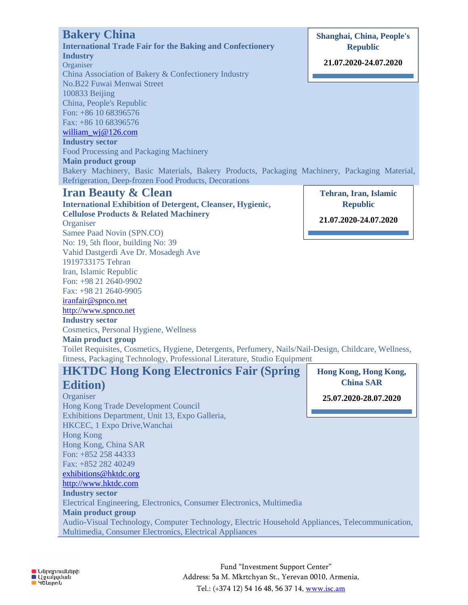| <b>Bakery China</b><br><b>International Trade Fair for the Baking and Confectionery</b><br><b>Industry</b><br>Organiser<br>China Association of Bakery & Confectionery Industry<br>No.B22 Fuwai Menwai Street<br>100833 Beijing<br>China, People's Republic<br>Fon: +86 10 68396576<br>Fax: +86 10 68396576<br>william_wj@126.com<br><b>Industry sector</b><br>Food Processing and Packaging Machinery<br><b>Main product group</b><br>Bakery Machinery, Basic Materials, Bakery Products, Packaging Machinery, Packaging Material,                                                                                                                                                                                              | <b>Shanghai, China, People's</b><br><b>Republic</b><br>21.07.2020-24.07.2020 |
|----------------------------------------------------------------------------------------------------------------------------------------------------------------------------------------------------------------------------------------------------------------------------------------------------------------------------------------------------------------------------------------------------------------------------------------------------------------------------------------------------------------------------------------------------------------------------------------------------------------------------------------------------------------------------------------------------------------------------------|------------------------------------------------------------------------------|
| Refrigeration, Deep-frozen Food Products, Decorations<br><b>Iran Beauty &amp; Clean</b><br><b>International Exhibition of Detergent, Cleanser, Hygienic,</b><br><b>Cellulose Products &amp; Related Machinery</b><br>Organiser<br>Samee Paad Novin (SPN.CO)<br>No: 19, 5th floor, building No: 39<br>Vahid Dastgerdi Ave Dr. Mosadegh Ave<br>1919733175 Tehran<br>Iran, Islamic Republic<br>Fon: +98 21 2640-9902<br>Fax: +98 21 2640-9905<br>iranfair@spnco.net<br>http://www.spnco.net<br><b>Industry sector</b><br>Cosmetics, Personal Hygiene, Wellness<br><b>Main product group</b><br>Toilet Requisites, Cosmetics, Hygiene, Detergents, Perfumery, Nails/Nail-Design, Childcare, Wellness,                                | Tehran, Iran, Islamic<br><b>Republic</b><br>21.07.2020-24.07.2020            |
| fitness, Packaging Technology, Professional Literature, Studio Equipment<br><b>HKTDC Hong Kong Electronics Fair (Spring)</b><br><b>Edition</b> )<br>Organiser<br>Hong Kong Trade Development Council<br>Exhibitions Department, Unit 13, Expo Galleria,<br>HKCEC, 1 Expo Drive, Wanchai<br><b>Hong Kong</b><br>Hong Kong, China SAR<br>Fon: +852 258 44333<br>Fax: +852 282 40249<br>exhibitions@hktdc.org<br>http://www.hktdc.com<br><b>Industry sector</b><br>Electrical Engineering, Electronics, Consumer Electronics, Multimedia<br><b>Main product group</b><br>Audio-Visual Technology, Computer Technology, Electric Household Appliances, Telecommunication,<br>Multimedia, Consumer Electronics, Electrical Appliances | Hong Kong, Hong Kong,<br><b>China SAR</b><br>25.07.2020-28.07.2020           |

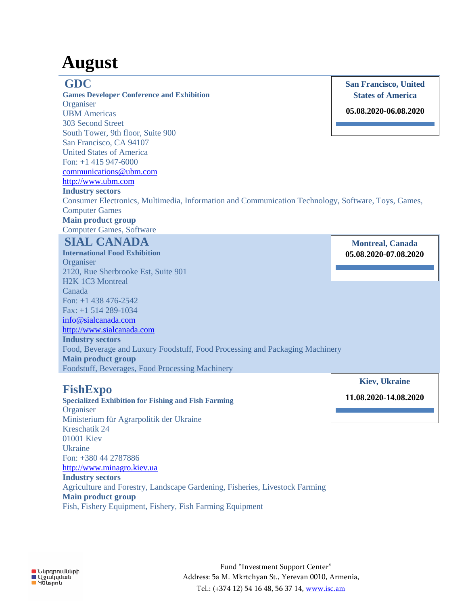## **August**

### **GDC**

**Games Developer Conference and Exhibition Organiser** UBM Americas 303 Second Street South Tower, 9th floor, Suite 900 San Francisco, CA 94107 United States of America  $F_{0n+1}$  415 947-6000 [communications@ubm.com](mailto:communications@ubm.com) [http://www.ubm.com](http://www.ubm.com/)

**San Francisco, United States of America**

**05.08.2020-06.08.2020**

**Industry sectors**

Consumer Electronics, Multimedia, Information and Communication Technology, Software, Toys, Games, Computer Games

## **Main product group**

Computer Games, Software

## **SIAL CANADA**

**International Food Exhibition** Organiser 2120, Rue Sherbrooke Est, Suite 901 H2K 1C3 Montreal Canada Fon: +1 438 476-2542 Fax: +1 514 289-1034 [info@sialcanada.com](mailto:info@sialcanada.com) [http://www.sialcanada.com](http://www.sialcanada.com/) **Industry sectors** Food, Beverage and Luxury Foodstuff, Food Processing and Packaging Machinery **Main product group** Foodstuff, Beverages, Food Processing Machinery

## **FishExpo**

**Specialized Exhibition for Fishing and Fish Farming Organiser** Ministerium für Agrarpolitik der Ukraine Kreschatik 24 01001 Kiev **Ukraine** Fon: +380 44 2787886 [http://www.minagro.kiev.ua](http://www.minagro.kiev.ua/) **Industry sectors** Agriculture and Forestry, Landscape Gardening, Fisheries, Livestock Farming **Main product group** Fish, Fishery Equipment, Fishery, Fish Farming Equipment

**Montreal, Canada 05.08.2020-07.08.2020**

**Kiev, Ukraine**

**11.08.2020-14.08.2020**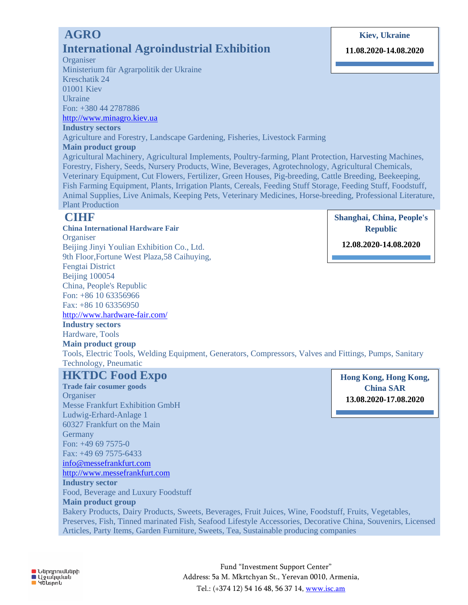## **AGRO International Agroindustrial Exhibition**

#### **Organiser**

Ministerium für Agrarpolitik der Ukraine Kreschatik 24 01001 Kiev Ukraine Fon: +380 44 2787886

[http://www.minagro.kiev.ua](http://www.minagro.kiev.ua/)

#### **Industry sectors**

Agriculture and Forestry, Landscape Gardening, Fisheries, Livestock Farming

#### **Main product group**

Agricultural Machinery, Agricultural Implements, Poultry-farming, Plant Protection, Harvesting Machines, Forestry, Fishery, Seeds, Nursery Products, Wine, Beverages, Agrotechnology, Agricultural Chemicals, Veterinary Equipment, Cut Flowers, Fertilizer, Green Houses, Pig-breeding, Cattle Breeding, Beekeeping, Fish Farming Equipment, Plants, Irrigation Plants, Cereals, Feeding Stuff Storage, Feeding Stuff, Foodstuff, Animal Supplies, Live Animals, Keeping Pets, Veterinary Medicines, Horse-breeding, Professional Literature, Plant Production

## **CIHF**

**China International Hardware Fair Organiser** Beijing Jinyi Youlian Exhibition Co., Ltd. 9th Floor,Fortune West Plaza,58 Caihuying, Fengtai District Beijing 100054 China, People's Republic Fon: +86 10 63356966 Fax: +86 10 63356950

<http://www.hardware-fair.com/>

**Industry sectors** Hardware, Tools

#### **Main product group**

Tools, Electric Tools, Welding Equipment, Generators, Compressors, Valves and Fittings, Pumps, Sanitary Technology, Pneumatic

#### **HKTDC Food Expo**

**Trade fair cosumer goods Organiser** Messe Frankfurt Exhibition GmbH Ludwig-Erhard-Anlage 1 60327 Frankfurt on the Main **Germany** Fon: +49 69 7575-0 Fax: +49 69 7575-6433 [info@messefrankfurt.com](mailto:info@messefrankfurt.com) [http://www.messefrankfurt.com](http://www.messefrankfurt.com/) **Industry sector** Food, Beverage and Luxury Foodstuff **Main product group** Bakery Products, Dairy Products, Sweets, Beverages, Fruit Juices, Wine, Foodstuff, Fruits, Vegetables, Preserves, Fish, Tinned marinated Fish, Seafood Lifestyle Accessories, Decorative China, Souvenirs, Licensed Articles, Party Items, Garden Furniture, Sweets, Tea, Sustainable producing companies

**Hong Kong, Hong Kong, China SAR 13.08.2020-17.08.2020**

**Shanghai, China, People's Republic**

**12.08.2020-14.08.2020**

#### **11.08.2020-14.08.2020**

**Kiev, Ukraine**

**O** Ներդրումների ■ Sannmadd<br>■ Yewyydwu<br>■ Yausnnu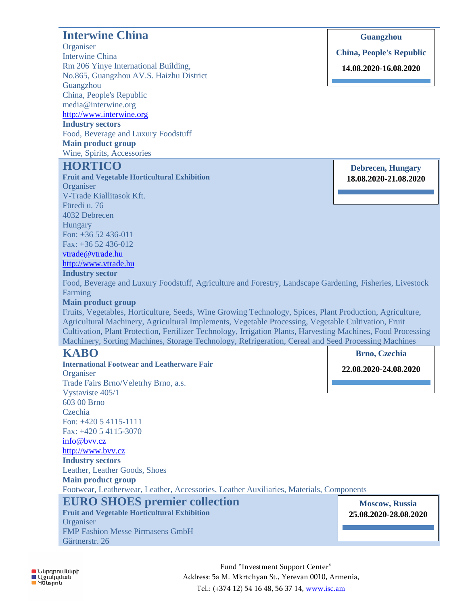## **Interwine China**

**Organiser** Interwine China Rm 206 Yinye International Building, No.865, Guangzhou AV.S. Haizhu District Guangzhou China, People's Republic media@interwine.org [http://www.interwine.org](http://www.interwine.org/)

**Industry sectors** Food, Beverage and Luxury Foodstuff **Main product group** Wine, Spirits, Accessories

## **HORTICO**

**Fruit and Vegetable Horticultural Exhibition Organiser** V-Trade Kiallitasok Kft. Füredi u. 76 4032 Debrecen Hungary Fon: +36 52 436-011 Fax: +36 52 436-012 [vtrade@vtrade.hu](mailto:vtrade@vtrade.hu) [http://www.vtrade.hu](http://www.vtrade.hu/) **Industry sector** Food, Beverage and Luxury Foodstuff, Agriculture and Forestry, Landscape Gardening, Fisheries, Livestock

Farming

#### **Main product group**

Fruits, Vegetables, Horticulture, Seeds, Wine Growing Technology, Spices, Plant Production, Agriculture, Agricultural Machinery, Agricultural Implements, Vegetable Processing, Vegetable Cultivation, Fruit Cultivation, Plant Protection, Fertilizer Technology, Irrigation Plants, Harvesting Machines, Food Processing Machinery, Sorting Machines, Storage Technology, Refrigeration, Cereal and Seed Processing Machines

### **KABO**

**International Footwear and Leatherware Fair Organiser** Trade Fairs Brno/Veletrhy Brno, a.s. Vystaviste 405/1 603 00 Brno Czechia Fon: +420 5 4115-1111 Fax: +420 5 4115-3070 [info@bvv.cz](mailto:info@bvv.cz) [http://www.bvv.cz](http://www.bvv.cz/) **Industry sectors** Leather, Leather Goods, Shoes **Main product group** Footwear, Leatherwear, Leather, Accessories, Leather Auxiliaries, Materials, Components **EURO SHOES premier collection Fruit and Vegetable Horticultural Exhibition 22.08.2020-24.08.2020**

**Guangzhou**

**China, People's Republic**

**14.08.2020-16.08.2020**

**Debrecen, Hungary 18.08.2020-21.08.2020**

**O** Ներդրումների **U**gwyydwu ■ Huspnu

**Organiser** 

Gärtnerstr. 26

FMP Fashion Messe Pirmasens GmbH

Fund "Investment Support Center" Address: 5a M. Mkrtchyan St., Yerevan 0010, Armenia, Tel.: (+374 12) 54 16 48, 56 37 14, www.isc.am

**Moscow, Russia 25.08.2020-28.08.2020**

**Brno, Czechia**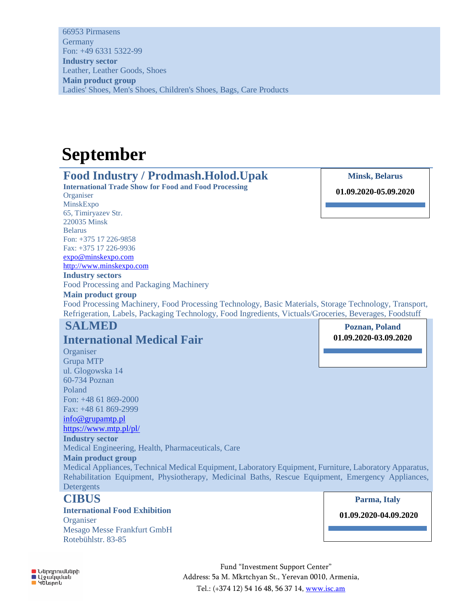66953 Pirmasens **Germany** Fon: +49 6331 5322-99 **Industry sector** Leather, Leather Goods, Shoes **Main product group** Ladies' Shoes, Men's Shoes, Children's Shoes, Bags, Care Products

## **September**

## **Food Industry / Prodmash.Holod.Upak**

**International Trade Show for Food and Food Processing Organiser** MinskExpo 65, Timiryazev Str. 220035 Minsk Belarus Fon: +375 17 226-9858 Fax: +375 17 226-9936 [expo@minskexpo.com](mailto:expo@minskexpo.com) [http://www.minskexpo.com](http://www.minskexpo.com/) **Industry sectors**

Food Processing and Packaging Machinery

**Main product group** Food Processing Machinery, Food Processing Technology, Basic Materials, Storage Technology, Transport, Refrigeration, Labels, Packaging Technology, Food Ingredients, Victuals/Groceries, Beverages, Foodstuff

## **SALMED**

## **International Medical Fair**

**Organiser** Grupa MTP ul. Glogowska 14 60-734 Poznan Poland Fon: +48 61 869-2000 Fax: +48 61 869-2999

#### [info@grupamtp.pl](mailto:info@grupamtp.pl)

<https://www.mtp.pl/pl/>

#### **Industry sector**

Medical Engineering, Health, Pharmaceuticals, Care

#### **Main product group**

Medical Appliances, Technical Medical Equipment, Laboratory Equipment, Furniture, Laboratory Apparatus, Rehabilitation Equipment, Physiotherapy, Medicinal Baths, Rescue Equipment, Emergency Appliances, Detergents

## **CIBUS**

**International Food Exhibition Organiser** Mesago Messe Frankfurt GmbH Rotebühlstr. 83-85

**Poznan, Poland 01.09.2020-03.09.2020**

**Minsk, Belarus** 

**01.09.2020-05.09.2020**

**Parma, Italy**

**01.09.2020-04.09.2020**

**O** Ներդրումների ■ Sannmadd<br>■ Yewyydwu<br>■ Yausnnu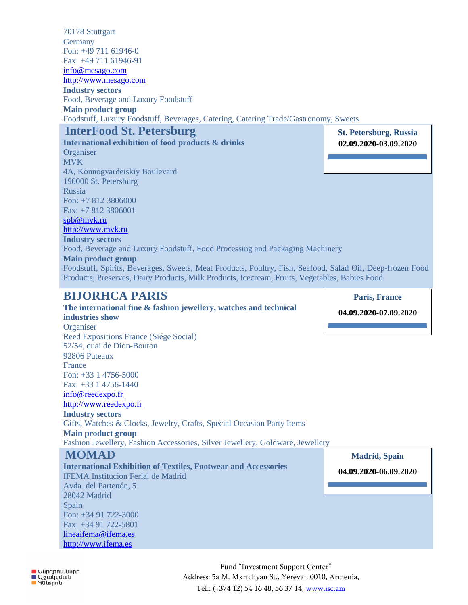70178 Stuttgart **Germany** Fon: +49 711 61946-0 Fax: +49 711 61946-91 [info@mesago.com](mailto:info@mesago.com) [http://www.mesago.com](http://www.mesago.com/) **Industry sectors** Food, Beverage and Luxury Foodstuff **Main product group** Foodstuff, Luxury Foodstuff, Beverages, Catering, Catering Trade/Gastronomy, Sweets **InterFood St. Petersburg St. Petersburg, Russia**

#### **International exhibition of food products & drinks Organiser** MVK 4A, Konnogvardeiskiy Boulevard 190000 St. Petersburg Russia Fon: +7 812 3806000 Fax: +7 812 3806001

**02.09.2020-03.09.2020**

## [spb@mvk.ru](mailto:spb@mvk.ru)

[http://www.mvk.ru](http://www.mvk.ru/)  **Industry sectors**

Food, Beverage and Luxury Foodstuff, Food Processing and Packaging Machinery **Main product group** Foodstuff, Spirits, Beverages, Sweets, Meat Products, Poultry, Fish, Seafood, Salad Oil, Deep-frozen Food Products, Preserves, Dairy Products, Milk Products, Icecream, Fruits, Vegetables, Babies Food

## **BIJORHCA PARIS**

#### **The international fine & fashion jewellery, watches and technical industries show Organiser** Reed Expositions France (Siége Social) 52/54, quai de Dion-Bouton 92806 Puteaux France Fon: +33 1 4756-5000 Fax: +33 1 4756-1440 [info@reedexpo.fr](mailto:info@reedexpo.fr) [http://www.reedexpo.fr](http://www.reedexpo.fr/)  **Industry sectors** Gifts, Watches & Clocks, Jewelry, Crafts, Special Occasion Party Items **Main product group** Fashion Jewellery, Fashion Accessories, Silver Jewellery, Goldware, Jewellery **MOMAD International Exhibition of Textiles, Footwear and Accessories**  IFEMA Institucion Ferial de Madrid Avda. del Partenón, 5 **04.09.2020-07.09.2020**

28042 Madrid Spain Fon: +34 91 722-3000 Fax: +34 91 722-5801 [lineaifema@ifema.es](mailto:lineaifema@ifema.es) [http://www.ifema.es](http://www.ifema.es/) 

**Barcelona, Spain Madrid, Spain**

**Paris, France**

**19.11.2020-21.11.2020 04.09.2020-06.09.2020**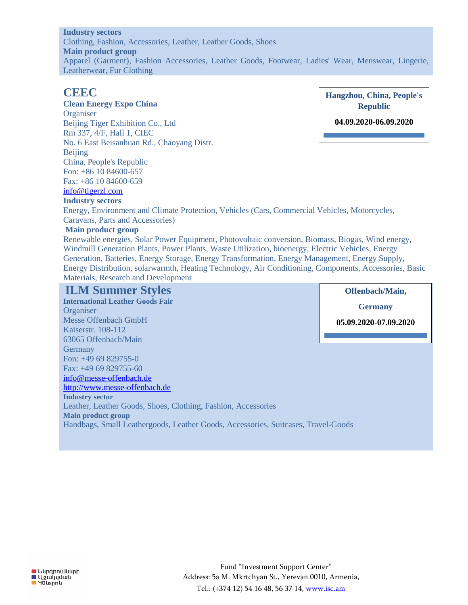#### **Industry sectors**

Clothing, Fashion, Accessories, Leather, Leather Goods, Shoes **Main product group** Apparel (Garment), Fashion Accessories, Leather Goods, Footwear, Ladies' Wear, Menswear, Lingerie, Leatherwear, Fur Clothing

#### **CEEC**

#### **Clean Energy Expo China**

**Organiser** Beijing Tiger Exhibition Co., Ltd Rm 337, 4/F, Hall 1, CIEC No. 6 East Beisanhuan Rd., Chaoyang Distr. Beijing China, People's Republic Fon: +86 10 84600-657 Fax: +86 10 84600-659

## [info@tigerzl.com](mailto:info@tigerzl.com)

#### **Industry sectors**

**Hangzhou, China, People's Republic** 

**04.09.2020-06.09.2020**

**Offenbach/Main,**

Energy, Environment and Climate Protection, Vehicles (Cars, Commercial Vehicles, Motorcycles, Caravans, Parts and Accessories)

#### **Main product group**

Renewable energies, Solar Power Equipment, Photovoltaic conversion, Biomass, Biogas, Wind energy, Windmill Generation Plants, Power Plants, Waste Utilization, bioenergy, Electric Vehicles, Energy Generation, Batteries, Energy Storage, Energy Transformation, Energy Management, Energy Supply, Energy Distribution, solarwarmth, Heating Technology, Air Conditioning, Components, Accessories, Basic Materials, Research and Development

### **ILM Summer Styles**

**International Leather Goods Fair**  Organiser Messe Offenbach GmbH Kaiserstr. 108-112 63065 Offenbach/Main **Germany** Fon: +49 69 829755-0 Fax: +49 69 829755-60 [info@messe-offenbach.de](mailto:info@messe-offenbach.de) [http://www.messe-offenbach.de](http://www.messe-offenbach.de/)  **Industry sector** Leather, Leather Goods, Shoes, Clothing, Fashion, Accessories **Main product group** Handbags, Small Leathergoods, Leather Goods, Accessories, Suitcases, Travel-Goods **Germany 05.09.2020-07.09.2020**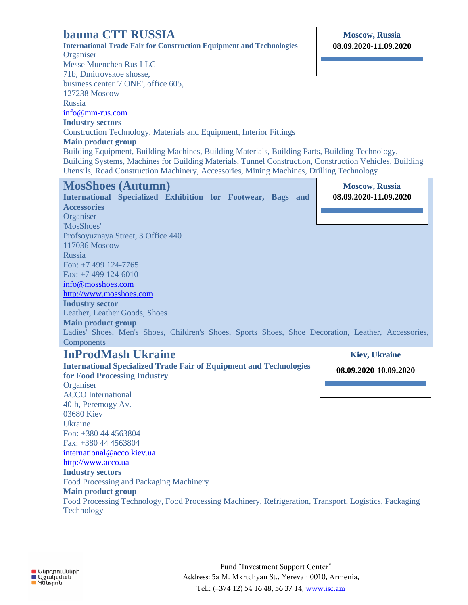## **bauma CTT RUSSIA**

**International Trade Fair for Construction Equipment and Technologies Organiser** Messe Muenchen Rus LLC 71b, Dmitrovskoe shosse, business center '7 ONE', office 605, 127238 Moscow Russia [info@mm-rus.com](mailto:info@mm-rus.com)  **Industry sectors**

**Moscow, Russia 08.09.2020-11.09.2020**

i.

## Construction Technology, Materials and Equipment, Interior Fittings

**Main product group**

Building Equipment, Building Machines, Building Materials, Building Parts, Building Technology, Building Systems, Machines for Building Materials, Tunnel Construction, Construction Vehicles, Building Utensils, Road Construction Machinery, Accessories, Mining Machines, Drilling Technology

| <b>MosShoes (Autumn)</b>                                                                           | <b>Moscow, Russia</b> |
|----------------------------------------------------------------------------------------------------|-----------------------|
| International Specialized Exhibition for Footwear, Bags and                                        | 08.09.2020-11.09.2020 |
| <b>Accessories</b>                                                                                 |                       |
| Organiser                                                                                          |                       |
| 'MosShoes'                                                                                         |                       |
| Profsoyuznaya Street, 3 Office 440                                                                 |                       |
| 117036 Moscow                                                                                      |                       |
| Russia                                                                                             |                       |
| Fon: $+7$ 499 124-7765                                                                             |                       |
| Fax: +7 499 124-6010                                                                               |                       |
| info@mosshoes.com                                                                                  |                       |
| http://www.mosshoes.com                                                                            |                       |
| <b>Industry sector</b>                                                                             |                       |
|                                                                                                    |                       |
| Leather, Leather Goods, Shoes                                                                      |                       |
| <b>Main product group</b>                                                                          |                       |
| Ladies' Shoes, Men's Shoes, Children's Shoes, Sports Shoes, Shoe Decoration, Leather, Accessories, |                       |
| Components                                                                                         |                       |
| <b>InProdMash Ukraine</b>                                                                          | <b>Kiev, Ukraine</b>  |
| <b>International Specialized Trade Fair of Equipment and Technologies</b>                          |                       |
| for Food Processing Industry                                                                       | 08.09.2020-10.09.2020 |
| Organiser                                                                                          |                       |
| <b>ACCO</b> International                                                                          |                       |
| 40-b, Peremogy Av.                                                                                 |                       |
| 03680 Kiev                                                                                         |                       |
| <b>Ukraine</b>                                                                                     |                       |
| Fon: +380 44 4563804                                                                               |                       |
| Fax: +380 44 4563804                                                                               |                       |

[http://www.acco.ua](http://www.acco.ua/) **Industry sectors**

Food Processing and Packaging Machinery **Main product group** Food Processing Technology, Food Processing Machinery, Refrigeration, Transport, Logistics, Packaging **Technology**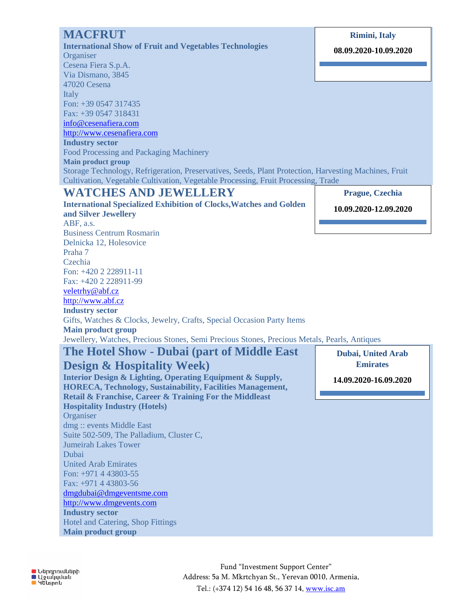| <b>MACFRUT</b>                                                                                                                                                                             | <b>Rimini</b> , Italy     |
|--------------------------------------------------------------------------------------------------------------------------------------------------------------------------------------------|---------------------------|
| <b>International Show of Fruit and Vegetables Technologies</b>                                                                                                                             | 08.09.2020-10.09.2020     |
| Organiser                                                                                                                                                                                  |                           |
| Cesena Fiera S.p.A.                                                                                                                                                                        |                           |
| Via Dismano, 3845                                                                                                                                                                          |                           |
| 47020 Cesena                                                                                                                                                                               |                           |
| Italy                                                                                                                                                                                      |                           |
| Fon: +39 0547 317435                                                                                                                                                                       |                           |
| Fax: +39 0547 318431                                                                                                                                                                       |                           |
| info@cesenafiera.com                                                                                                                                                                       |                           |
| http://www.cesenafiera.com                                                                                                                                                                 |                           |
| <b>Industry sector</b>                                                                                                                                                                     |                           |
| Food Processing and Packaging Machinery                                                                                                                                                    |                           |
| <b>Main product group</b>                                                                                                                                                                  |                           |
| Storage Technology, Refrigeration, Preservatives, Seeds, Plant Protection, Harvesting Machines, Fruit<br>Cultivation, Vegetable Cultivation, Vegetable Processing, Fruit Processing, Trade |                           |
| <b>WATCHES AND JEWELLERY</b>                                                                                                                                                               | Prague, Czechia           |
|                                                                                                                                                                                            |                           |
| <b>International Specialized Exhibition of Clocks, Watches and Golden</b><br>and Silver Jewellery                                                                                          | 10.09.2020-12.09.2020     |
| ABF, a.s.                                                                                                                                                                                  |                           |
| <b>Business Centrum Rosmarin</b>                                                                                                                                                           |                           |
| Delnicka 12, Holesovice                                                                                                                                                                    |                           |
| Praha 7                                                                                                                                                                                    |                           |
| Czechia                                                                                                                                                                                    |                           |
| Fon: +420 2 228911-11                                                                                                                                                                      |                           |
| Fax: +420 2 228911-99                                                                                                                                                                      |                           |
| veletrhy@abf.cz                                                                                                                                                                            |                           |
| http://www.abf.cz                                                                                                                                                                          |                           |
| <b>Industry sector</b>                                                                                                                                                                     |                           |
| Gifts, Watches & Clocks, Jewelry, Crafts, Special Occasion Party Items                                                                                                                     |                           |
| <b>Main product group</b>                                                                                                                                                                  |                           |
| Jewellery, Watches, Precious Stones, Semi Precious Stones, Precious Metals, Pearls, Antiques                                                                                               |                           |
|                                                                                                                                                                                            |                           |
|                                                                                                                                                                                            |                           |
| The Hotel Show - Dubai (part of Middle East                                                                                                                                                | <b>Dubai, United Arab</b> |
|                                                                                                                                                                                            | <b>Emirates</b>           |
| <b>Design &amp; Hospitality Week</b> )                                                                                                                                                     |                           |
| Interior Design & Lighting, Operating Equipment & Supply,                                                                                                                                  | 14.09.2020-16.09.2020     |
| <b>HORECA, Technology, Sustainability, Facilities Management,</b>                                                                                                                          |                           |
| Retail & Franchise, Career & Training For the Middleast                                                                                                                                    |                           |
|                                                                                                                                                                                            |                           |
|                                                                                                                                                                                            |                           |
|                                                                                                                                                                                            |                           |
|                                                                                                                                                                                            |                           |
| <b>Hospitality Industry (Hotels)</b><br>Organiser<br>dmg:: events Middle East<br>Suite 502-509, The Palladium, Cluster C,<br><b>Jumeirah Lakes Tower</b>                                   |                           |
| Dubai                                                                                                                                                                                      |                           |
| <b>United Arab Emirates</b>                                                                                                                                                                |                           |
| Fon: $+971$ 4 43803-55                                                                                                                                                                     |                           |
| Fax: +971 4 43803-56                                                                                                                                                                       |                           |
| dmgdubai@dmgeventsme.com                                                                                                                                                                   |                           |
| http://www.dmgevents.com                                                                                                                                                                   |                           |
|                                                                                                                                                                                            |                           |
| <b>Industry sector</b><br>Hotel and Catering, Shop Fittings                                                                                                                                |                           |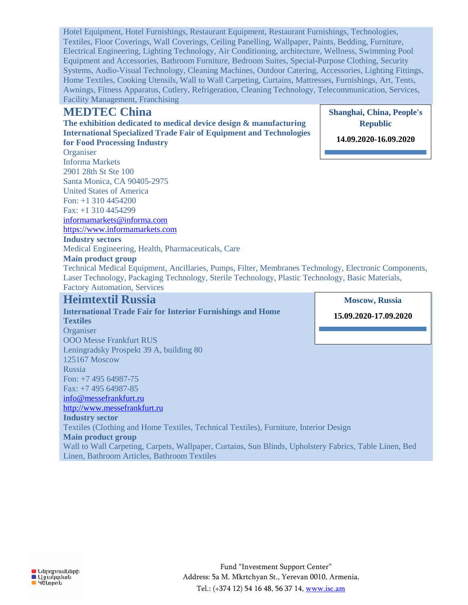Hotel Equipment, Hotel Furnishings, Restaurant Equipment, Restaurant Furnishings, Technologies, Textiles, Floor Coverings, Wall Coverings, Ceiling Panelling, Wallpaper, Paints, Bedding, Furniture, Electrical Engineering, Lighting Technology, Air Conditioning, architecture, Wellness, Swimming Pool Equipment and Accessories, Bathroom Furniture, Bedroom Suites, Special-Purpose Clothing, Security Systems, Audio-Visual Technology, Cleaning Machines, Outdoor Catering, Accessories, Lighting Fittings, Home Textiles, Cooking Utensils, Wall to Wall Carpeting, Curtains, Mattresses, Furnishings, Art, Tents, Awnings, Fitness Apparatus, Cutlery, Refrigeration, Cleaning Technology, Telecommunication, Services, Facility Management, Franchising

## **MEDTEC China**

**The exhibition dedicated to medical device design & manufacturing International Specialized Trade Fair of Equipment and Technologies for Food Processing Industry**

**Organiser** Informa Markets 2901 28th St Ste 100 Santa Monica, CA 90405-2975 United States of America Fon: +1 310 4454200 Fax: +1 310 4454299 [informamarkets@informa.com](mailto:informamarkets@informa.com)

[https://www.informamarkets.com](https://www.informamarkets.com/)

## **Industry sectors**

Medical Engineering, Health, Pharmaceuticals, Care

#### **Main product group**

Technical Medical Equipment, Ancillaries, Pumps, Filter, Membranes Technology, Electronic Components, Laser Technology, Packaging Technology, Sterile Technology, Plastic Technology, Basic Materials, Factory Automation, Services

## **Heimtextil Russia**

**International Trade Fair for Interior Furnishings and Home Textiles Organiser** OOO Messe Frankfurt RUS Leningradsky Prospekt 39 A, building 80 125167 Moscow Russia Fon: +7 495 64987-75

Fax: +7 495 64987-85

[info@messefrankfurt.ru](mailto:info@messefrankfurt.ru)

[http://www.messefrankfurt.ru](http://www.messefrankfurt.ru/)

**Industry sector**

Textiles (Clothing and Home Textiles, Technical Textiles), Furniture, Interior Design **Main product group**

Wall to Wall Carpeting, Carpets, Wallpaper, Curtains, Sun Blinds, Upholstery Fabrics, Table Linen, Bed Linen, Bathroom Articles, Bathroom Textiles

**Republic 14.09.2020-16.09.2020**

**Shanghai, China, People's** 

**Moscow, Russia 15.09.2020-17.09.2020**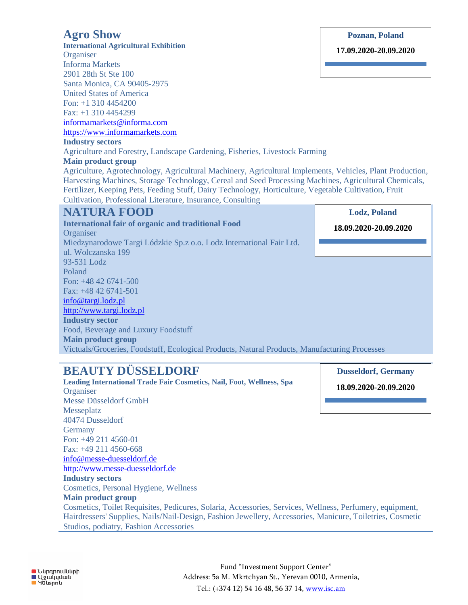## **Agro Show**

ul. Wolczanska 199 93-531 Lodz Poland

Fon: +48 42 6741-500 Fax: +48 42 6741-501 [info@targi.lodz.pl](mailto:info@targi.lodz.pl) [http://www.targi.lodz.pl](http://www.targi.lodz.pl/)

**Main product group**

**Industry sector**

**International Agricultural Exhibition Organiser** Informa Markets 2901 28th St Ste 100 Santa Monica, CA 90405-2975 United States of America Fon: +1 310 4454200 Fax: +1 310 4454299 [informamarkets@informa.com](mailto:informamarkets@informa.com) [https://www.informamarkets.com](https://www.informamarkets.com/) **Industry sectors** Agriculture and Forestry, Landscape Gardening, Fisheries, Livestock Farming **Main product group** Agriculture, Agrotechnology, Agricultural Machinery, Agricultural Implements, Vehicles, Plant Production, Harvesting Machines, Storage Technology, Cereal and Seed Processing Machines, Agricultural Chemicals, Fertilizer, Keeping Pets, Feeding Stuff, Dairy Technology, Horticulture, Vegetable Cultivation, Fruit Cultivation, Professional Literature, Insurance, Consulting **NATURA FOOD International fair of organic and traditional Food Organiser** Miedzynarodowe Targi Lódzkie Sp.z o.o. Lodz International Fair Ltd. **Poznan, Poland 17.09.2020-20.09.2020 Lodz, Poland 18.09.2020-20.09.2020**

**BEAUTY DÜSSELDORF**

Food, Beverage and Luxury Foodstuff

**Leading International Trade Fair Cosmetics, Nail, Foot, Wellness, Spa Organiser** Messe Düsseldorf GmbH Messeplatz 40474 Dusseldorf **Germany** Fon: +49 211 4560-01 Fax: +49 211 4560-668 [info@messe-duesseldorf.de](mailto:info@messe-duesseldorf.de) [http://www.messe-duesseldorf.de](http://www.messe-duesseldorf.de/) **Industry sectors** Cosmetics, Personal Hygiene, Wellness **Main product group** Cosmetics, Toilet Requisites, Pedicures, Solaria, Accessories, Services, Wellness, Perfumery, equipment, Hairdressers' Supplies, Nails/Nail-Design, Fashion Jewellery, Accessories, Manicure, Toiletries, Cosmetic Studios, podiatry, Fashion Accessories **18.09.2020-20.09.2020**

Victuals/Groceries, Foodstuff, Ecological Products, Natural Products, Manufacturing Processes

**Dusseldorf, Germany**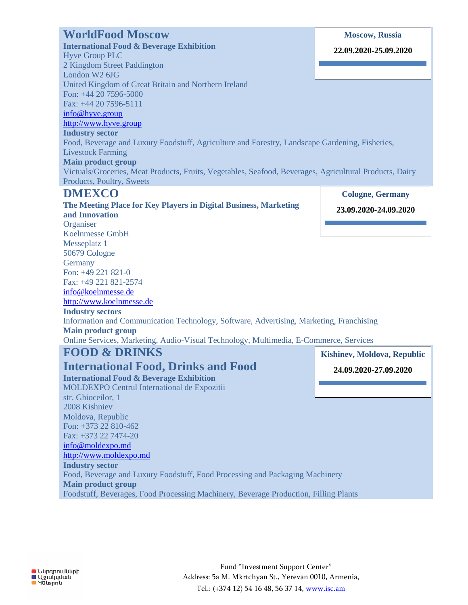## **WorldFood Moscow**

**International Food & Beverage Exhibition** Hyve Group PLC 2 Kingdom Street Paddington London W2 6JG United Kingdom of Great Britain and Northern Ireland Fon: +44 20 7596-5000 Fax: +44 20 7596-5111 [info@hyve.group](mailto:info@hyve.group) [http://www.hyve.group](http://www.hyve.group/) **Industry sector**

**Moscow, Russia**

**22.09.2020-25.09.2020**

**Cologne, Germany 23.09.2020-24.09.2020**

#### Food, Beverage and Luxury Foodstuff, Agriculture and Forestry, Landscape Gardening, Fisheries,

Livestock Farming **Main product group**

Victuals/Groceries, Meat Products, Fruits, Vegetables, Seafood, Beverages, Agricultural Products, Dairy Products, Poultry, Sweets

## **DMEXCO**

**The Meeting Place for Key Players in Digital Business, Marketing and Innovation Organiser** Koelnmesse GmbH Messeplatz 1 50679 Cologne **Germany** Fon: +49 221 821-0 Fax: +49 221 821-2574 [info@koelnmesse.de](mailto:info@koelnmesse.de) [http://www.koelnmesse.de](http://www.koelnmesse.de/) **Industry sectors** Information and Communication Technology, Software, Advertising, Marketing, Franchising **Main product group** Online Services, Marketing, Audio-Visual Technology, Multimedia, E-Commerce, Services **FOOD & DRINKS Kishinev, Moldova, Republic**

## **International Food, Drinks and Food**

**International Food & Beverage Exhibition** MOLDEXPO Centrul International de Expozitii str. Ghioceilor, 1 2008 Kishniev Moldova, Republic Fon: +373 22 810-462 Fax: +373 22 7474-20 [info@moldexpo.md](mailto:info@moldexpo.md) [http://www.moldexpo.md](http://www.moldexpo.md/) **Industry sector** Food, Beverage and Luxury Foodstuff, Food Processing and Packaging Machinery **Main product group 24.09.2020-27.09.2020**

Foodstuff, Beverages, Food Processing Machinery, Beverage Production, Filling Plants